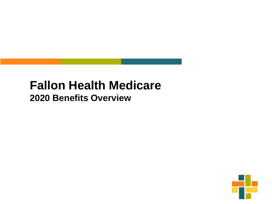#### **Fallon Health Medicare 2020 Benefits Overview**

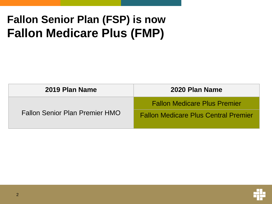### **Fallon Senior Plan (FSP) is now Fallon Medicare Plus (FMP)**

| 2019 Plan Name                        | 2020 Plan Name                              |
|---------------------------------------|---------------------------------------------|
| <b>Fallon Senior Plan Premier HMO</b> | <b>Fallon Medicare Plus Premier</b>         |
|                                       | <b>Fallon Medicare Plus Central Premier</b> |

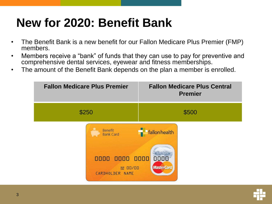### **New for 2020: Benefit Bank**

- The Benefit Bank is a new benefit for our Fallon Medicare Plus Premier (FMP) members.
- Members receive a "bank" of funds that they can use to pay for preventive and comprehensive dental services, eyewear and fitness memberships.
- The amount of the Benefit Bank depends on the plan a member is enrolled.



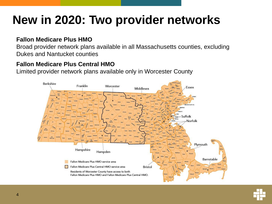## **New in 2020: Two provider networks**

#### **Fallon Medicare Plus HMO**

Broad provider network plans available in all Massachusetts counties, excluding Dukes and Nantucket counties

#### **Fallon Medicare Plus Central HMO**

Limited provider network plans available only in Worcester County



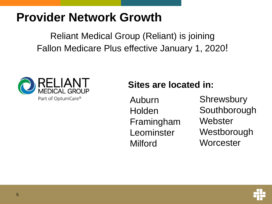### **Provider Network Growth**

Reliant Medical Group (Reliant) is joining Fallon Medicare Plus effective January 1, 2020!



#### **Sites are located in:**

Auburn **Holden** Framingham Leominster Milford

**Shrewsbury** Southborough **Webster Westborough Worcester** 

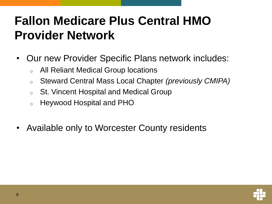## **Fallon Medicare Plus Central HMO Provider Network**

- Our new Provider Specific Plans network includes:
	- <sup>o</sup> All Reliant Medical Group locations
	- <sup>o</sup> Steward Central Mass Local Chapter *(previously CMIPA)*
	- <sup>o</sup> St. Vincent Hospital and Medical Group
	- <sup>o</sup> Heywood Hospital and PHO
- Available only to Worcester County residents

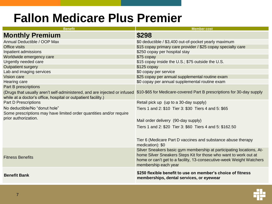### **Fallon Medicare Plus Premier**

| <b>Benefit</b>                                                                                                                                                                                                   | <b>Member cost</b>                                                                                                                                                                                                                       |
|------------------------------------------------------------------------------------------------------------------------------------------------------------------------------------------------------------------|------------------------------------------------------------------------------------------------------------------------------------------------------------------------------------------------------------------------------------------|
| <b>Monthly Premium</b>                                                                                                                                                                                           | \$298                                                                                                                                                                                                                                    |
| Annual Deductible / OOP Max                                                                                                                                                                                      | \$0 deductible / \$3,400 out-of-pocket yearly maximum                                                                                                                                                                                    |
| Office visits                                                                                                                                                                                                    | \$15 copay primary care provider / \$25 copay specialty care                                                                                                                                                                             |
| Inpatient admissions                                                                                                                                                                                             | \$250 copay per hospital stay                                                                                                                                                                                                            |
| Worldwide emergency care                                                                                                                                                                                         | \$75 copay                                                                                                                                                                                                                               |
| Urgently needed care                                                                                                                                                                                             | \$15 copay inside the U.S.; \$75 outside the U.S.                                                                                                                                                                                        |
| <b>Outpatient surgery</b>                                                                                                                                                                                        | $$125$ copay                                                                                                                                                                                                                             |
| Lab and imaging services                                                                                                                                                                                         | \$0 copay per service                                                                                                                                                                                                                    |
| Vision care                                                                                                                                                                                                      | \$25 copay per annual supplemental routine exam                                                                                                                                                                                          |
| Hearing care                                                                                                                                                                                                     | \$0 copay per annual supplemental routine exam                                                                                                                                                                                           |
| Part B prescriptions                                                                                                                                                                                             |                                                                                                                                                                                                                                          |
| (Drugs that usually aren't self-administered, and are injected or infused \$10-\$65 for Medicare-covered Part B prescriptions for 30-day supply<br>while at a doctor's office, hospital or outpatient facility.) |                                                                                                                                                                                                                                          |
| <b>Part D Prescriptions</b>                                                                                                                                                                                      | Retail pick up (up to a 30-day supply)                                                                                                                                                                                                   |
| No deductible/No "donut hole"<br>Some prescriptions may have limited order quantities and/or require                                                                                                             | Tiers 1 and 2: \$10 Tier 3: \$30 Tiers 4 and 5: \$65                                                                                                                                                                                     |
| prior authorization.                                                                                                                                                                                             | Mail order delivery (90-day supply)                                                                                                                                                                                                      |
|                                                                                                                                                                                                                  | Tiers 1 and 2: \$20 Tier 3: \$60 Tiers 4 and 5: \$162.50                                                                                                                                                                                 |
|                                                                                                                                                                                                                  | Tier 6 (Medicare Part D vaccines and substance abuse therapy<br>medication): \$0                                                                                                                                                         |
| <b>Fitness Benefits</b>                                                                                                                                                                                          | Silver Sneakers basic gym membership at participating locations, At-<br>home Silver Sneakers Steps Kit for those who want to work out at<br>home or can't get to a facility, 13-consecutive-week Weight Watchers<br>membership each year |
| <b>Benefit Bank</b>                                                                                                                                                                                              | \$250 flexible benefit to use on member's choice of fitness<br>memberships, dental services, or eyewear                                                                                                                                  |

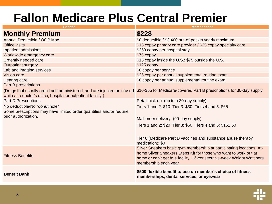### **Fallon Medicare Plus Central Premier**

| <b>Benefit</b>                                                                                                                                                                                                   | <b>Member cost</b>                                                                                                                                                                                                                       |
|------------------------------------------------------------------------------------------------------------------------------------------------------------------------------------------------------------------|------------------------------------------------------------------------------------------------------------------------------------------------------------------------------------------------------------------------------------------|
| <b>Monthly Premium</b>                                                                                                                                                                                           | \$228                                                                                                                                                                                                                                    |
| Annual Deductible / OOP Max                                                                                                                                                                                      | \$0 deductible / \$3,400 out-of-pocket yearly maximum                                                                                                                                                                                    |
| <b>Office visits</b>                                                                                                                                                                                             | \$15 copay primary care provider / \$25 copay specialty care                                                                                                                                                                             |
| Inpatient admissions                                                                                                                                                                                             | \$250 copay per hospital stay                                                                                                                                                                                                            |
| Worldwide emergency care                                                                                                                                                                                         | \$75 copay                                                                                                                                                                                                                               |
| Urgently needed care                                                                                                                                                                                             | \$15 copay inside the U.S.; \$75 outside the U.S.                                                                                                                                                                                        |
| <b>Outpatient surgery</b>                                                                                                                                                                                        | \$125 copay                                                                                                                                                                                                                              |
| Lab and imaging services                                                                                                                                                                                         | \$0 copay per service                                                                                                                                                                                                                    |
| Vision care                                                                                                                                                                                                      | \$25 copay per annual supplemental routine exam                                                                                                                                                                                          |
| <b>Hearing care</b>                                                                                                                                                                                              | \$0 copay per annual supplemental routine exam                                                                                                                                                                                           |
| <b>Part B prescriptions</b>                                                                                                                                                                                      |                                                                                                                                                                                                                                          |
| (Drugs that usually aren't self-administered, and are injected or infused \$10-\$65 for Medicare-covered Part B prescriptions for 30-day supply<br>while at a doctor's office, hospital or outpatient facility.) |                                                                                                                                                                                                                                          |
| <b>Part D Prescriptions</b>                                                                                                                                                                                      | Retail pick up (up to a 30-day supply)                                                                                                                                                                                                   |
| No deductible/No "donut hole"<br>Some prescriptions may have limited order quantities and/or require                                                                                                             | Tiers 1 and 2: \$10 Tier 3: \$30 Tiers 4 and 5: \$65                                                                                                                                                                                     |
| prior authorization.                                                                                                                                                                                             | Mail order delivery (90-day supply)                                                                                                                                                                                                      |
|                                                                                                                                                                                                                  | Tiers 1 and 2: \$20 Tier 3: \$60 Tiers 4 and 5: \$162.50                                                                                                                                                                                 |
|                                                                                                                                                                                                                  | Tier 6 (Medicare Part D vaccines and substance abuse therapy<br>medication): \$0                                                                                                                                                         |
| <b>Fitness Benefits</b>                                                                                                                                                                                          | Silver Sneakers basic gym membership at participating locations, At-<br>home Silver Sneakers Steps Kit for those who want to work out at<br>home or can't get to a facility, 13-consecutive-week Weight Watchers<br>membership each year |
| <b>Benefit Bank</b>                                                                                                                                                                                              | \$500 flexible benefit to use on member's choice of fitness<br>memberships, dental services, or eyewear                                                                                                                                  |